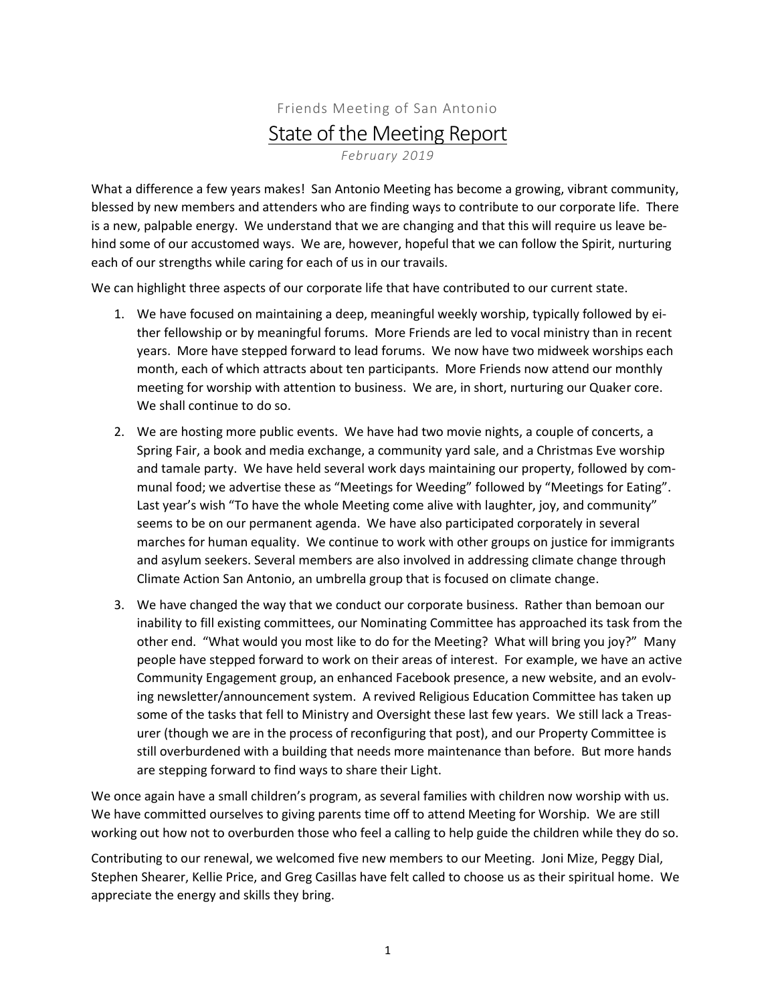## Friends Meeting of San Antonio State of the Meeting Report *February 2019*

What a difference a few years makes! San Antonio Meeting has become a growing, vibrant community, blessed by new members and attenders who are finding ways to contribute to our corporate life. There is a new, palpable energy. We understand that we are changing and that this will require us leave behind some of our accustomed ways. We are, however, hopeful that we can follow the Spirit, nurturing each of our strengths while caring for each of us in our travails.

We can highlight three aspects of our corporate life that have contributed to our current state.

- 1. We have focused on maintaining a deep, meaningful weekly worship, typically followed by either fellowship or by meaningful forums. More Friends are led to vocal ministry than in recent years. More have stepped forward to lead forums. We now have two midweek worships each month, each of which attracts about ten participants. More Friends now attend our monthly meeting for worship with attention to business. We are, in short, nurturing our Quaker core. We shall continue to do so.
- 2. We are hosting more public events. We have had two movie nights, a couple of concerts, a Spring Fair, a book and media exchange, a community yard sale, and a Christmas Eve worship and tamale party. We have held several work days maintaining our property, followed by communal food; we advertise these as "Meetings for Weeding" followed by "Meetings for Eating". Last year's wish "To have the whole Meeting come alive with laughter, joy, and community" seems to be on our permanent agenda. We have also participated corporately in several marches for human equality. We continue to work with other groups on justice for immigrants and asylum seekers. Several members are also involved in addressing climate change through Climate Action San Antonio, an umbrella group that is focused on climate change.
- 3. We have changed the way that we conduct our corporate business. Rather than bemoan our inability to fill existing committees, our Nominating Committee has approached its task from the other end. "What would you most like to do for the Meeting? What will bring you joy?" Many people have stepped forward to work on their areas of interest. For example, we have an active Community Engagement group, an enhanced Facebook presence, a new website, and an evolving newsletter/announcement system. A revived Religious Education Committee has taken up some of the tasks that fell to Ministry and Oversight these last few years. We still lack a Treasurer (though we are in the process of reconfiguring that post), and our Property Committee is still overburdened with a building that needs more maintenance than before. But more hands are stepping forward to find ways to share their Light.

We once again have a small children's program, as several families with children now worship with us. We have committed ourselves to giving parents time off to attend Meeting for Worship. We are still working out how not to overburden those who feel a calling to help guide the children while they do so.

Contributing to our renewal, we welcomed five new members to our Meeting. Joni Mize, Peggy Dial, Stephen Shearer, Kellie Price, and Greg Casillas have felt called to choose us as their spiritual home. We appreciate the energy and skills they bring.